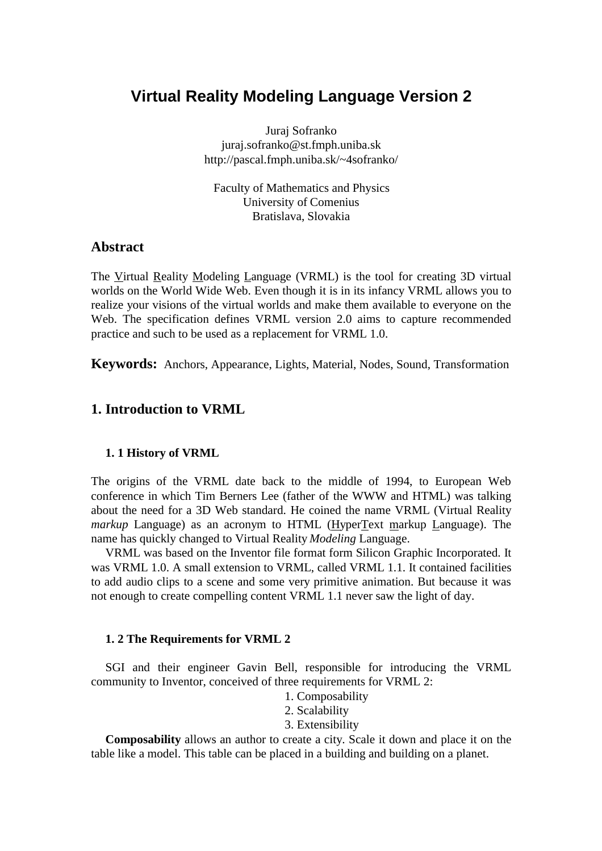# **Virtual Reality Modeling Language Version 2**

Juraj Sofranko juraj.sofranko@st.fmph.uniba.sk http://pascal.fmph.uniba.sk/~4sofranko/

Faculty of Mathematics and Physics University of Comenius Bratislava, Slovakia

### **Abstract**

The Virtual Reality Modeling Language (VRML) is the tool for creating 3D virtual worlds on the World Wide Web. Even though it is in its infancy VRML allows you to realize your visions of the virtual worlds and make them available to everyone on the Web. The specification defines VRML version 2.0 aims to capture recommended practice and such to be used as a replacement for VRML 1.0.

**Keywords:** Anchors, Appearance, Lights, Material, Nodes, Sound, Transformation

### **1. Introduction to VRML**

#### **1. 1 History of VRML**

The origins of the VRML date back to the middle of 1994, to European Web conference in which Tim Berners Lee (father of the WWW and HTML) was talking about the need for a 3D Web standard. He coined the name VRML (Virtual Reality *markup* Language) as an acronym to HTML (HyperText markup Language). The name has quickly changed to Virtual Reality *Modeling* Language.

VRML was based on the Inventor file format form Silicon Graphic Incorporated. It was VRML 1.0. A small extension to VRML, called VRML 1.1. It contained facilities to add audio clips to a scene and some very primitive animation. But because it was not enough to create compelling content VRML 1.1 never saw the light of day.

#### **1. 2 The Requirements for VRML 2**

SGI and their engineer Gavin Bell, responsible for introducing the VRML community to Inventor, conceived of three requirements for VRML 2:

- 1. Composability
- 2. Scalability
- 3. Extensibility

**Composability** allows an author to create a city. Scale it down and place it on the table like a model. This table can be placed in a building and building on a planet.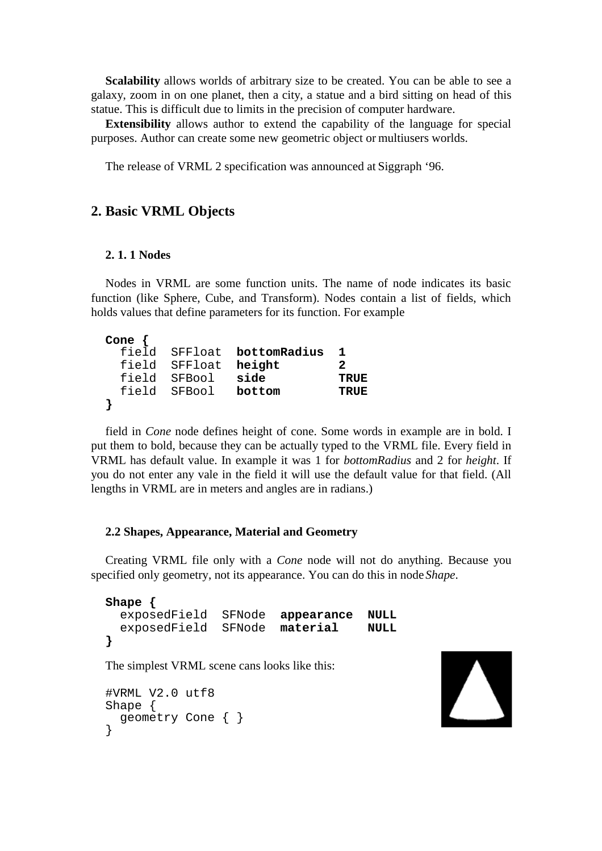**Scalability** allows worlds of arbitrary size to be created. You can be able to see a galaxy, zoom in on one planet, then a city, a statue and a bird sitting on head of this statue. This is difficult due to limits in the precision of computer hardware.

**Extensibility** allows author to extend the capability of the language for special purposes. Author can create some new geometric object or multiusers worlds.

The release of VRML 2 specification was announced at Siggraph '96.

### **2. Basic VRML Objects**

#### **2. 1. 1 Nodes**

Nodes in VRML are some function units. The name of node indicates its basic function (like Sphere, Cube, and Transform). Nodes contain a list of fields, which holds values that define parameters for its function. For example

| Cone $\{$ |                      |                            |             |
|-----------|----------------------|----------------------------|-------------|
|           |                      | field SFFloat bottomRadius |             |
|           | field SFFloat height |                            | 2           |
|           | field SFBool         | side                       | <b>TRUE</b> |
|           | field SFBool bottom  |                            | <b>TRUE</b> |
|           |                      |                            |             |

field in *Cone* node defines height of cone. Some words in example are in bold. I put them to bold, because they can be actually typed to the VRML file. Every field in VRML has default value. In example it was 1 for *bottomRadius* and 2 for *height*. If you do not enter any vale in the field it will use the default value for that field. (All lengths in VRML are in meters and angles are in radians.)

#### **2.2 Shapes, Appearance, Material and Geometry**

Creating VRML file only with a *Cone* node will not do anything. Because you specified only geometry, not its appearance. You can do this in node *Shape*.

```
Shape {
   exposedField SFNode appearance NULL
   exposedField SFNode material NULL
}
The simplest VRML scene cans looks like this:
```

```
#VRML V2.0 utf8
Shape {
  geometry Cone { }
}
```
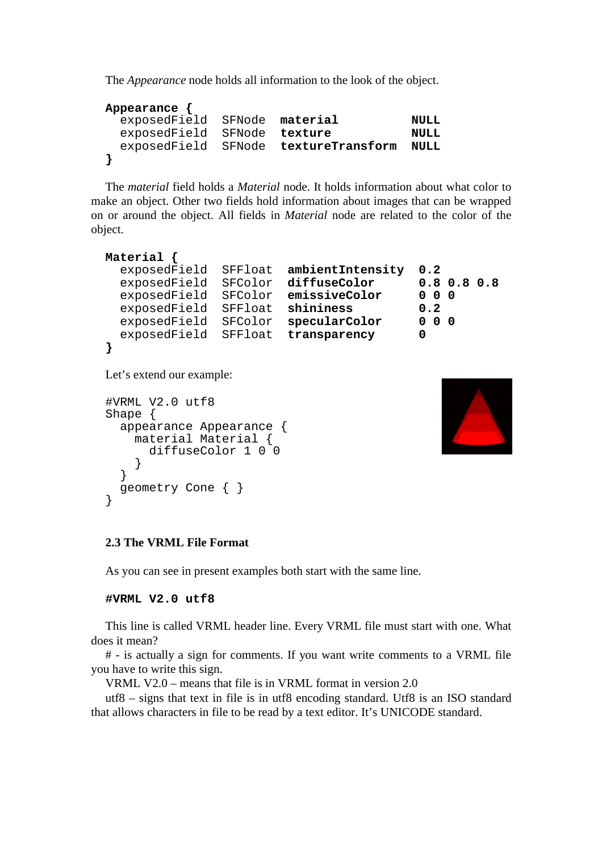The *Appearance* node holds all information to the look of the object.

```
Appearance {
  exposedField SFNode material NULL
 exposedField SFNode texture MULL
  exposedField SFNode textureTransform NULL
}
```
The *material* field holds a *Material* node. It holds information about what color to make an object. Other two fields hold information about images that can be wrapped on or around the object. All fields in *Material* node are related to the color of the object.

```
Material {
  exposedField SFFloat ambientIntensity 0.2
  exposedField SFColor diffuseColor 0.8 0.8 0.8
  exposedField SFColor emissiveColor 0 0 0
  exposedField SFFloat shininess 0.2
  exposedField SFColor specularColor 0 0 0
  exposedField SFFloat transparency 0
}
```
Let's extend our example:

```
#VRML V2.0 utf8
Shape {
   appearance Appearance {
     material Material {
    diffuseColor 1 0 0<br>}
 }
   }
   geometry Cone { }
}
```


### **2.3 The VRML File Format**

As you can see in present examples both start with the same line.

**#VRML V2.0 utf8**

This line is called VRML header line. Every VRML file must start with one. What does it mean?

# - is actually a sign for comments. If you want write comments to a VRML file you have to write this sign.

VRML V2.0 – means that file is in VRML format in version 2.0

utf8 – signs that text in file is in utf8 encoding standard. Utf8 is an ISO standard that allows characters in file to be read by a text editor. It's UNICODE standard.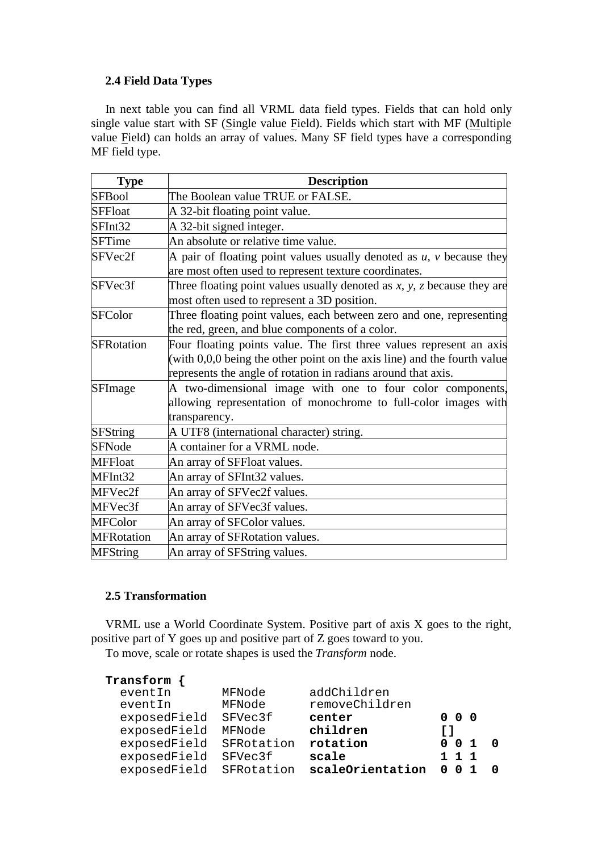### **2.4 Field Data Types**

In next table you can find all VRML data field types. Fields that can hold only single value start with SF (Single value Field). Fields which start with MF (Multiple value Field) can holds an array of values. Many SF field types have a corresponding MF field type.

| <b>Type</b>       | <b>Description</b>                                                              |
|-------------------|---------------------------------------------------------------------------------|
| <b>SFBool</b>     | The Boolean value TRUE or FALSE.                                                |
| <b>SFFloat</b>    | A 32-bit floating point value.                                                  |
| SFInt32           | A 32-bit signed integer.                                                        |
| <b>SFTime</b>     | An absolute or relative time value.                                             |
| SFVec2f           | A pair of floating point values usually denoted as $u$ , $v$ because they       |
|                   | are most often used to represent texture coordinates.                           |
| SFVec3f           | Three floating point values usually denoted as $x$ , $y$ , $z$ because they are |
|                   | most often used to represent a 3D position.                                     |
| <b>SFColor</b>    | Three floating point values, each between zero and one, representing            |
|                   | the red, green, and blue components of a color.                                 |
| SFRotation        | Four floating points value. The first three values represent an axis            |
|                   | (with $0,0,0$ being the other point on the axis line) and the fourth value      |
|                   | represents the angle of rotation in radians around that axis.                   |
| SFImage           | A two-dimensional image with one to four color components,                      |
|                   | allowing representation of monochrome to full-color images with                 |
|                   | transparency.                                                                   |
| <b>SFString</b>   | A UTF8 (international character) string.                                        |
| <b>SFNode</b>     | A container for a VRML node.                                                    |
| <b>MFFloat</b>    | An array of SFFloat values.                                                     |
| MFInt32           | An array of SFInt32 values.                                                     |
| MFVec2f           | An array of SFVec2f values.                                                     |
| MFVec3f           | An array of SFVec3f values.                                                     |
| <b>MFColor</b>    | An array of SFColor values.                                                     |
| <b>MFRotation</b> | An array of SFRotation values.                                                  |
| <b>MFString</b>   | An array of SFString values.                                                    |

### **2.5 Transformation**

VRML use a World Coordinate System. Positive part of axis X goes to the right, positive part of Y goes up and positive part of Z goes toward to you.

To move, scale or rotate shapes is used the *Transform* node.

| Transform    |            |                  |             |     |  |
|--------------|------------|------------------|-------------|-----|--|
| eventIn      | MFNode     | addChildren      |             |     |  |
| eventIn      | MFNode     | removeChildren   |             |     |  |
| exposedField | SFVec3f    | center           | - 0<br>0.   | - 0 |  |
| exposedField | MFNode     | children         | r 1         |     |  |
| exposedField | SFRotation | rotation         | 0           | -1  |  |
| exposedField | SFVec3f    | scale            | $1 \t1 \t1$ |     |  |
| exposedField | SFRotation | scaleOrientation | n           |     |  |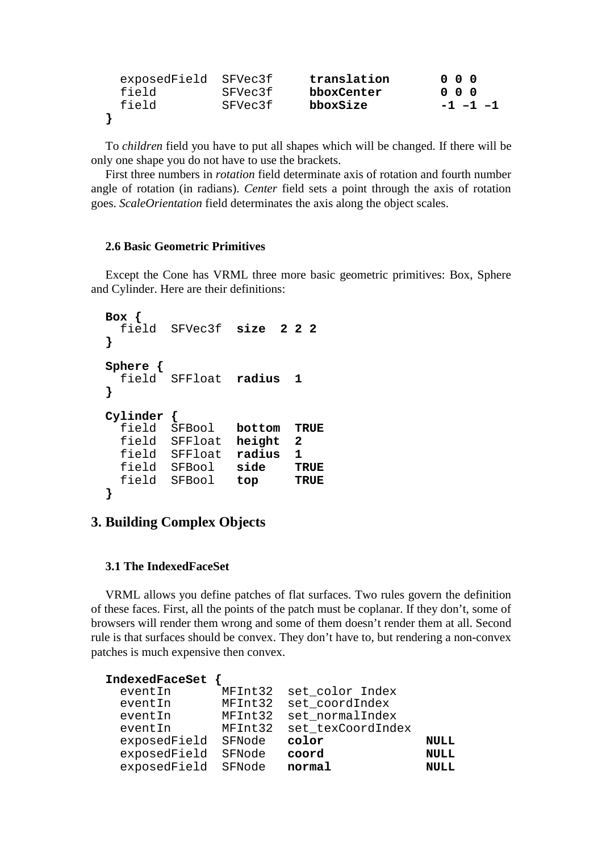| exposedField SFVec3f |         | translation | $0\quad 0\quad 0$ |
|----------------------|---------|-------------|-------------------|
| field                | SFVec3f | bboxCenter  | $0\quad 0\quad 0$ |
| field                | SFVec3f | bboxSize    | $-1$ $-1$ $-1$    |
|                      |         |             |                   |

To *children* field you have to put all shapes which will be changed. If there will be only one shape you do not have to use the brackets.

First three numbers in *rotation* field determinate axis of rotation and fourth number angle of rotation (in radians). *Center* field sets a point through the axis of rotation goes. *ScaleOrientation* field determinates the axis along the object scales.

#### **2.6 Basic Geometric Primitives**

Except the Cone has VRML three more basic geometric primitives: Box, Sphere and Cylinder. Here are their definitions:

```
Box {
  field SFVec3f size 2 2 2
}
Sphere {
  field SFFloat radius 1
}
Cylinder {
   field SFBool bottom TRUE
   field SFFloat height 2
   field SFFloat radius 1
  field SFBool side TRUE
  field SFBool top TRUE
}
```
### **3. Building Complex Objects**

#### **3.1 The IndexedFaceSet**

VRML allows you define patches of flat surfaces. Two rules govern the definition of these faces. First, all the points of the patch must be coplanar. If they don't, some of browsers will render them wrong and some of them doesn't render them at all. Second rule is that surfaces should be convex. They don't have to, but rendering a non-convex patches is much expensive then convex.

| IndexedFaceSet |         |                   |             |
|----------------|---------|-------------------|-------------|
| eventIn        | MFInt32 | set_color Index   |             |
| eventIn        | MFInt32 | set coordIndex    |             |
| eventIn        | MFInt32 | set_normalIndex   |             |
| eventIn        | MFInt32 | set texCoordIndex |             |
| exposedField   | SFNode  | color             | <b>NULL</b> |
| exposedField   | SFNode  | coord             | <b>NULL</b> |
| exposedField   | SFNode  | normal            | <b>NULL</b> |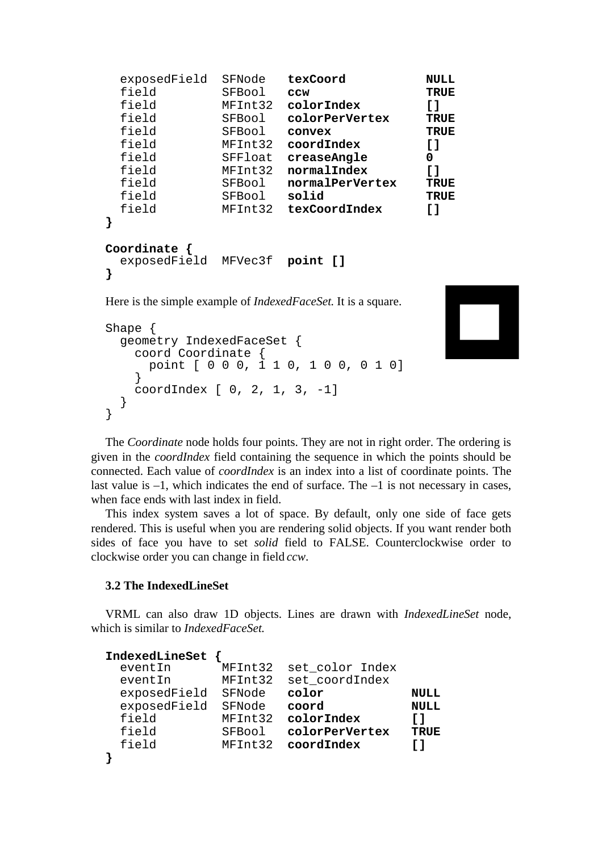| exposedField              | SFNode  | texCoord                                                                                                                                                                                                                                                                                                                           | <b>NULL</b>      |
|---------------------------|---------|------------------------------------------------------------------------------------------------------------------------------------------------------------------------------------------------------------------------------------------------------------------------------------------------------------------------------------|------------------|
| field                     | SFBool  | CCW                                                                                                                                                                                                                                                                                                                                | <b>TRUE</b>      |
| field                     | MFInt32 | colorIndex                                                                                                                                                                                                                                                                                                                         | []               |
| field                     | SFBool  | colorPerVertex                                                                                                                                                                                                                                                                                                                     | <b>TRUE</b>      |
| field                     | SFBool  | convex                                                                                                                                                                                                                                                                                                                             | <b>TRUE</b>      |
| field                     | MFInt32 | coordIndex                                                                                                                                                                                                                                                                                                                         | []               |
| field                     | SFFloat | creaseAngle                                                                                                                                                                                                                                                                                                                        | 0                |
| field                     | MFInt32 | normalIndex                                                                                                                                                                                                                                                                                                                        | $\mathfrak{c}$ 1 |
| field                     | SFBool  | normalPerVertex                                                                                                                                                                                                                                                                                                                    | <b>TRUE</b>      |
| field                     | SFBool  | solid                                                                                                                                                                                                                                                                                                                              | <b>TRUE</b>      |
| field                     | MFInt32 | texCoordIndex                                                                                                                                                                                                                                                                                                                      | $\mathfrak{c}$ 1 |
| }                         |         |                                                                                                                                                                                                                                                                                                                                    |                  |
| Coordinate $\{$           |         |                                                                                                                                                                                                                                                                                                                                    |                  |
| exposedField MFVec3f<br>} |         | point []                                                                                                                                                                                                                                                                                                                           |                  |
| TT.                       |         | $\mathbf{1}$ $\mathbf{1}$ $\mathbf{1}$ $\mathbf{1}$ $\mathbf{1}$ $\mathbf{1}$ $\mathbf{1}$ $\mathbf{1}$ $\mathbf{1}$ $\mathbf{1}$ $\mathbf{1}$ $\mathbf{1}$ $\mathbf{1}$ $\mathbf{1}$ $\mathbf{1}$ $\mathbf{1}$ $\mathbf{1}$ $\mathbf{1}$ $\mathbf{1}$ $\mathbf{1}$ $\mathbf{1}$ $\mathbf{1}$ $\mathbf{1}$ $\mathbf{1}$ $\mathbf{$ |                  |

Here is the simple example of *IndexedFaceSet*. It is a square.

```
Shape {
   geometry IndexedFaceSet {
     coord Coordinate {
       point [ 0 0 0, 1 1 0, 1 0 0, 0 1 0]
     }
     coordIndex [ 0, 2, 1, 3, -1]
   }
}
```


The *Coordinate* node holds four points. They are not in right order. The ordering is given in the *coordIndex* field containing the sequence in which the points should be connected. Each value of *coordIndex* is an index into a list of coordinate points. The last value is –1, which indicates the end of surface. The –1 is not necessary in cases, when face ends with last index in field.

This index system saves a lot of space. By default, only one side of face gets rendered. This is useful when you are rendering solid objects. If you want render both sides of face you have to set *solid* field to FALSE. Counterclockwise order to clockwise order you can change in field *ccw*.

### **3.2 The IndexedLineSet**

VRML can also draw 1D objects. Lines are drawn with *IndexedLineSet* node, which is similar to *IndexedFaceSet*.

| IndexedLineSet |         |                 |             |
|----------------|---------|-----------------|-------------|
| eventIn        | MFInt32 | set_color Index |             |
| eventIn        | MFInt32 | set_coordIndex  |             |
| exposedField   | SFNode  | color           | <b>NULL</b> |
| exposedField   | SFNode  | coord           | <b>NULL</b> |
| field          | MFInt32 | colorIndex      | ГI          |
| field          | SFBool  | colorPerVertex  | <b>TRUE</b> |
| field          | MFInt32 | coordIndex      | r 1         |
|                |         |                 |             |
|                |         |                 |             |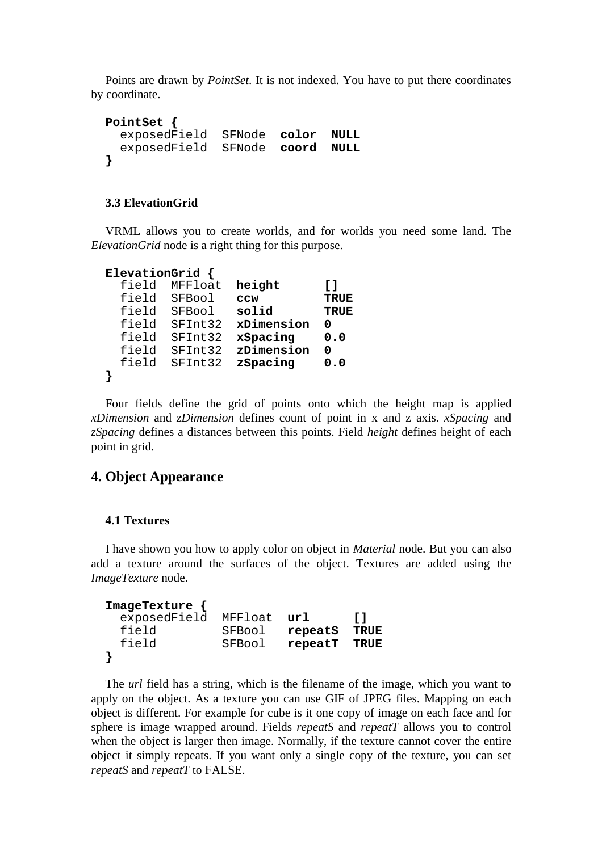Points are drawn by *PointSet*. It is not indexed. You have to put there coordinates by coordinate.

```
PointSet {
   exposedField SFNode color NULL
   exposedField SFNode coord NULL
}
```
#### **3.3 ElevationGrid**

VRML allows you to create worlds, and for worlds you need some land. The *ElevationGrid* node is a right thing for this purpose.

```
ElevationGrid {
  field MFFloat height []
  field SFBool ccw TRUE
  field SFBool solid TRUE
  field SFInt32 xDimension 0
  field SFInt32 xSpacing 0.0
  field SFInt32 zDimension 0
  field SFInt32 zSpacing 0.0
}
```
Four fields define the grid of points onto which the height map is applied *xDimension* and *zDimension* defines count of point in x and z axis. *xSpacing* and *zSpacing* defines a distances between this points. Field *height* defines height of each point in grid.

### **4. Object Appearance**

#### **4.1 Textures**

I have shown you how to apply color on object in *Material* node. But you can also add a texture around the surfaces of the object. Textures are added using the *ImageTexture* node.

| $ImageTexture \{$ |         |         |      |
|-------------------|---------|---------|------|
| exposedField      | MFFloat | url     | T 1  |
| field             | SFBool  | repeatS | TRUE |
| field             | SFBool  | repeatT | TRUE |
|                   |         |         |      |

The *url* field has a string, which is the filename of the image, which you want to apply on the object. As a texture you can use GIF of JPEG files. Mapping on each object is different. For example for cube is it one copy of image on each face and for sphere is image wrapped around. Fields *repeatS* and *repeatT* allows you to control when the object is larger then image. Normally, if the texture cannot cover the entire object it simply repeats. If you want only a single copy of the texture, you can set *repeatS* and *repeatT* to FALSE.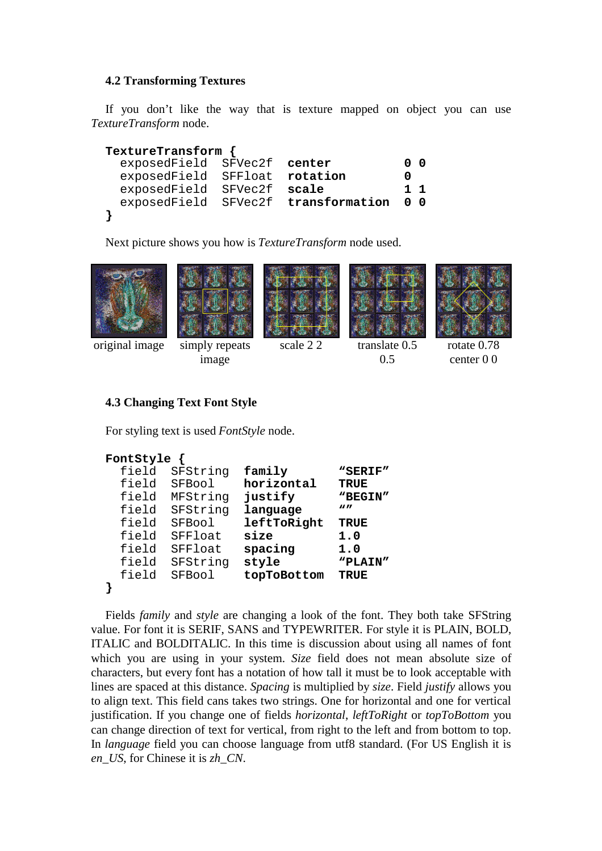### **4.2 Transforming Textures**

If you don't like the way that is texture mapped on object you can use *TextureTransform* node.

```
TextureTransform {
  exposedField SFVec2f center 0 0
  exposedField SFFloat rotation 0
  exposedField SFVec2f scale 1 1
  exposedField SFVec2f transformation 0 0
}
```
Next picture shows you how is *TextureTransform* node used.







0.5



original image simply repeats

image

scale 2 2 translate 0.5

rotate 0.78 center 0 0

### **4.3 Changing Text Font Style**

For styling text is used *FontStyle* node.

```
FontStyle {
  field SFString family "SERIF"
  field SFBool horizontal TRUE
  field MFString justify "BEGIN"
  field SFString language ""
  field SFBool leftToRight TRUE
  field SFFloat size 1.0
  field SFFloat spacing 1.0
  field SFString style "PLAIN"
  field SFBool topToBottom TRUE
}
```
Fields *family* and *style* are changing a look of the font. They both take SFString value. For font it is SERIF, SANS and TYPEWRITER. For style it is PLAIN, BOLD, ITALIC and BOLDITALIC. In this time is discussion about using all names of font which you are using in your system. *Size* field does not mean absolute size of characters, but every font has a notation of how tall it must be to look acceptable with lines are spaced at this distance. *Spacing* is multiplied by *size*. Field *justify* allows you to align text. This field cans takes two strings. One for horizontal and one for vertical justification. If you change one of fields *horizontal*, *leftToRight* or *topToBottom* you can change direction of text for vertical, from right to the left and from bottom to top. In *language* field you can choose language from utf8 standard. (For US English it is *en\_US*, for Chinese it is *zh\_CN*.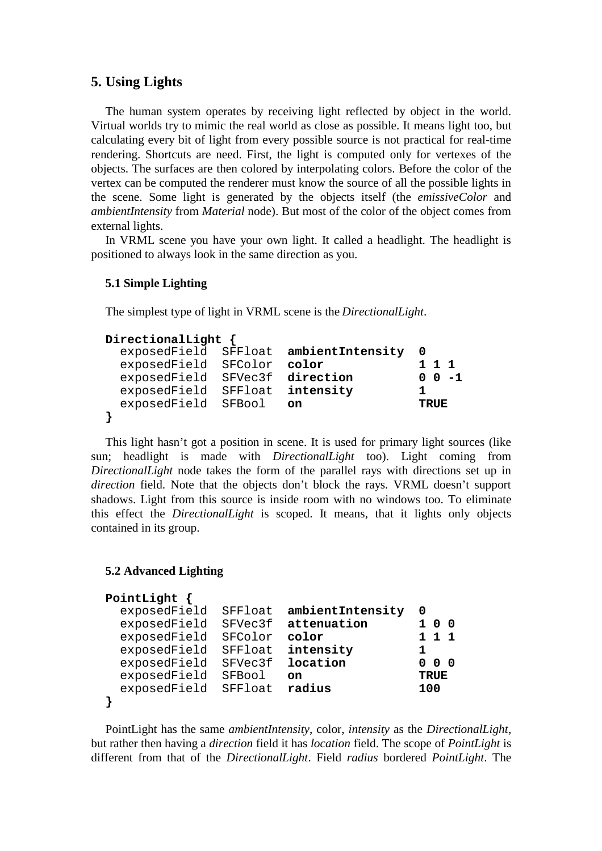### **5. Using Lights**

The human system operates by receiving light reflected by object in the world. Virtual worlds try to mimic the real world as close as possible. It means light too, but calculating every bit of light from every possible source is not practical for real-time rendering. Shortcuts are need. First, the light is computed only for vertexes of the objects. The surfaces are then colored by interpolating colors. Before the color of the vertex can be computed the renderer must know the source of all the possible lights in the scene. Some light is generated by the objects itself (the *emissiveColor* and *ambientIntensity* from *Material* node). But most of the color of the object comes from external lights.

In VRML scene you have your own light. It called a headlight. The headlight is positioned to always look in the same direction as you.

#### **5.1 Simple Lighting**

The simplest type of light in VRML scene is the *DirectionalLight*.

```
DirectionalLight {
  exposedField SFFloat ambientIntensity 0
 exposedField SFColor color
  exposedField SFVec3f direction 0 0 -1
  exposedField SFFloat intensity 1
  exposedField SFBool on TRUE
}
```
This light hasn't got a position in scene. It is used for primary light sources (like sun; headlight is made with *DirectionalLight* too). Light coming from *DirectionalLight* node takes the form of the parallel rays with directions set up in *direction* field. Note that the objects don't block the rays. VRML doesn't support shadows. Light from this source is inside room with no windows too. To eliminate this effect the *DirectionalLight* is scoped. It means, that it lights only objects contained in its group.

### **5.2 Advanced Lighting**

```
PointLight {
  exposedField SFFloat ambientIntensity 0
  exposedField SFVec3f attenuation 1 0 0
 exposedField SFColor color
  exposedField SFFloat intensity 1
  exposedField SFVec3f location 0 0 0
  exposedField SFBool on TRUE
  exposedField SFFloat radius 100
}
```
PointLight has the same *ambientIntensity*, color, *intensity* as the *DirectionalLight*, but rather then having a *direction* field it has *location* field. The scope of *PointLight* is different from that of the *DirectionalLight*. Field *radius* bordered *PointLight*. The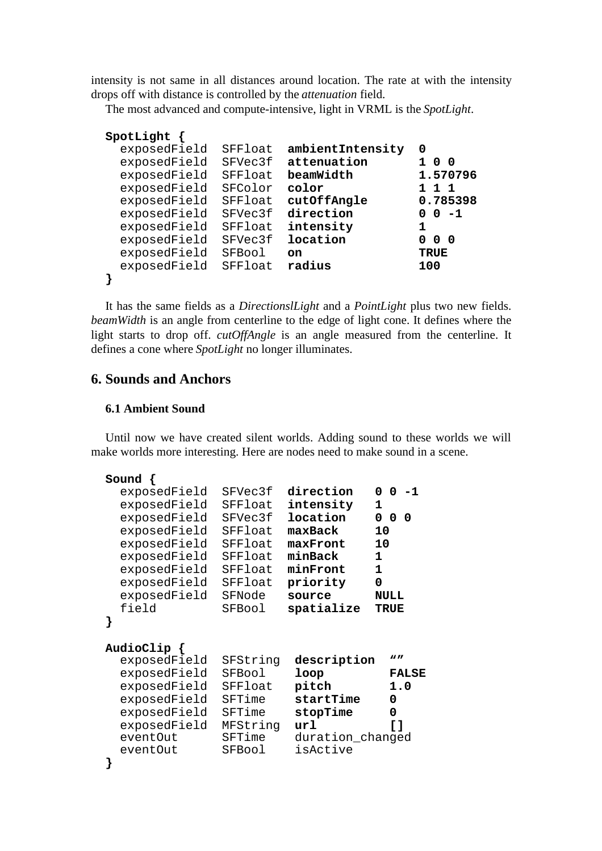intensity is not same in all distances around location. The rate at with the intensity drops off with distance is controlled by the *attenuation* field.

The most advanced and compute-intensive, light in VRML is the *SpotLight*.

```
SpotLight {
  exposedField SFFloat ambientIntensity 0
  exposedField SFVec3f attenuation 1 0 0
  exposedField SFFloat beamWidth 1.570796
  exposedField SFColor color 1 1 1
  exposedField SFFloat cutOffAngle 0.785398
 exposedField SFVec3f direction
  exposedField SFFloat intensity 1
  exposedField SFVec3f location 0 0 0
  exposedField SFBool on TRUE
  exposedField SFFloat radius 100
}
```
It has the same fields as a *DirectionslLight* and a *PointLight* plus two new fields. *beamWidth* is an angle from centerline to the edge of light cone. It defines where the light starts to drop off. *cutOffAngle* is an angle measured from the centerline. It defines a cone where *SpotLight* no longer illuminates.

### **6. Sounds and Anchors**

#### **6.1 Ambient Sound**

Until now we have created silent worlds. Adding sound to these worlds we will make worlds more interesting. Here are nodes need to make sound in a scene.

```
Sound {
  exposedField SFVec3f direction 0 0 -1
  exposedField SFFloat intensity 1
  exposedField SFVec3f location 0 0 0
  exposedField SFFloat maxBack 10
  exposedField SFFloat maxFront 10
  exposedField SFFloat minBack 1
  exposedField SFFloat minFront 1
  exposedField SFFloat priority 0
  exposedField SFNode source NULL
  field SFBool spatialize TRUE
}
AudioClip {
  exposedField SFString description ""
  exposedField SFBool loop FALSE
  exposedField SFFloat pitch 1.0
  exposedField SFTime startTime 0
  exposedField SFTime stopTime 0
  exposedField MFString url []
 eventOut SFTime duration changed
  eventOut SFBool isActive
}
```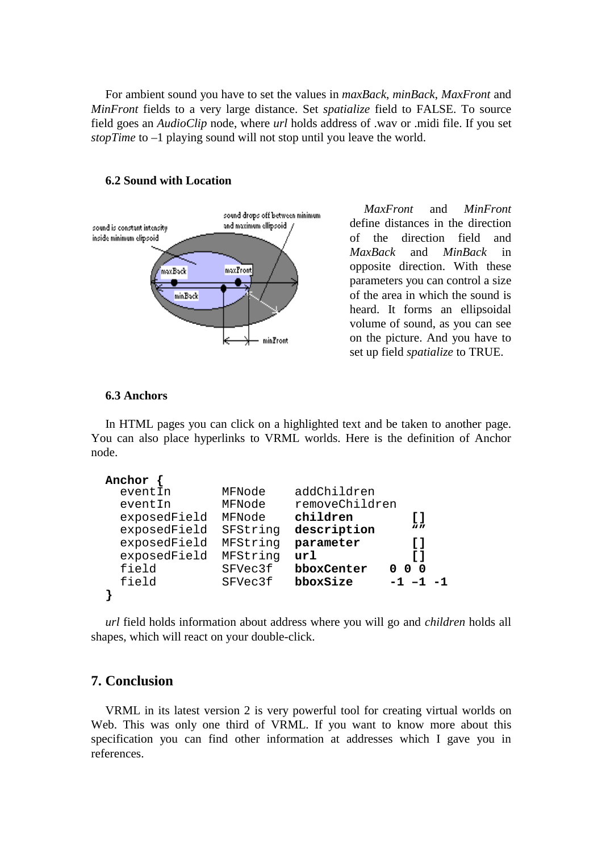For ambient sound you have to set the values in *maxBack*, *minBack*, *MaxFront* and *MinFront* fields to a very large distance. Set *spatialize* field to FALSE. To source field goes an *AudioClip* node, where *url* holds address of .wav or .midi file. If you set *stopTime* to –1 playing sound will not stop until you leave the world.



#### **6.2 Sound with Location**

*MaxFront* and *MinFront* define distances in the direction of the direction field and *MaxBack* and *MinBack* in opposite direction. With these parameters you can control a size of the area in which the sound is heard. It forms an ellipsoidal volume of sound, as you can see on the picture. And you have to set up field *spatialize* to TRUE.

### **6.3 Anchors**

In HTML pages you can click on a highlighted text and be taken to another page. You can also place hyperlinks to VRML worlds. Here is the definition of Anchor node.

```
Anchor {
 eventIn MFNode addChildren
  eventIn MFNode removeChildren
  exposedField MFNode children []
 exposedField SFString description
  exposedField MFString parameter []
  exposedField MFString url []
  field SFVec3f bboxCenter 0 0 0
  field SFVec3f bboxSize -1 –1 -1
}
```
*url* field holds information about address where you will go and *children* holds all shapes, which will react on your double-click.

### **7. Conclusion**

VRML in its latest version 2 is very powerful tool for creating virtual worlds on Web. This was only one third of VRML. If you want to know more about this specification you can find other information at addresses which I gave you in references.